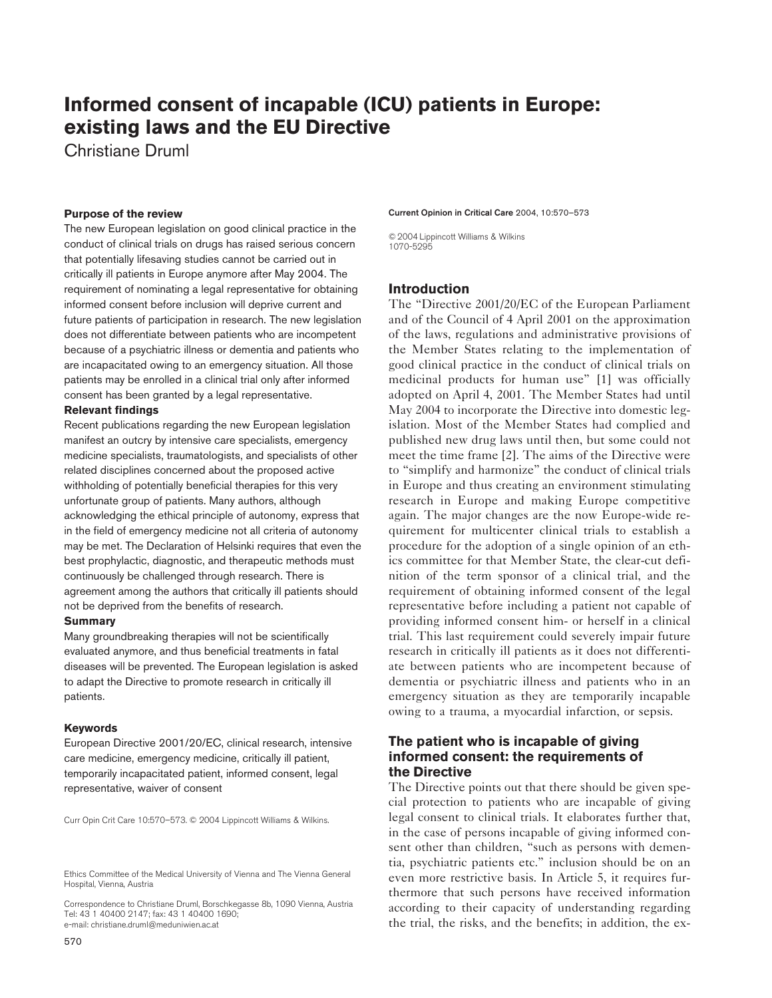# **Informed consent of incapable (ICU) patients in Europe: existing laws and the EU Directive**

Christiane Druml

## **Purpose of the review**

The new European legislation on good clinical practice in the conduct of clinical trials on drugs has raised serious concern that potentially lifesaving studies cannot be carried out in critically ill patients in Europe anymore after May 2004. The requirement of nominating a legal representative for obtaining informed consent before inclusion will deprive current and future patients of participation in research. The new legislation does not differentiate between patients who are incompetent because of a psychiatric illness or dementia and patients who are incapacitated owing to an emergency situation. All those patients may be enrolled in a clinical trial only after informed consent has been granted by a legal representative.

# **Relevant findings**

Recent publications regarding the new European legislation manifest an outcry by intensive care specialists, emergency medicine specialists, traumatologists, and specialists of other related disciplines concerned about the proposed active withholding of potentially beneficial therapies for this very unfortunate group of patients. Many authors, although acknowledging the ethical principle of autonomy, express that in the field of emergency medicine not all criteria of autonomy may be met. The Declaration of Helsinki requires that even the best prophylactic, diagnostic, and therapeutic methods must continuously be challenged through research. There is agreement among the authors that critically ill patients should not be deprived from the benefits of research.

#### **Summary**

Many groundbreaking therapies will not be scientifically evaluated anymore, and thus beneficial treatments in fatal diseases will be prevented. The European legislation is asked to adapt the Directive to promote research in critically ill patients.

## **Keywords**

European Directive 2001/20/EC, clinical research, intensive care medicine, emergency medicine, critically ill patient, temporarily incapacitated patient, informed consent, legal representative, waiver of consent

Curr Opin Crit Care 10:570–573. © 2004 Lippincott Williams & Wilkins.

Ethics Committee of the Medical University of Vienna and The Vienna General Hospital, Vienna, Austria

Correspondence to Christiane Druml, Borschkegasse 8b, 1090 Vienna, Austria Tel: 43 1 40400 2147; fax: 43 1 40400 1690; e-mail: christiane.druml@meduniwien.ac.at

**Current Opinion in Critical Care** 2004, 10:570–573

© 2004 Lippincott Williams & Wilkins 1070-5295

## **Introduction**

The "Directive 2001/20/EC of the European Parliament and of the Council of 4 April 2001 on the approximation of the laws, regulations and administrative provisions of the Member States relating to the implementation of good clinical practice in the conduct of clinical trials on medicinal products for human use" [1] was officially adopted on April 4,2001. The Member States had until May 2004 to incorporate the Directive into domestic legislation. Most of the Member States had complied and published new drug laws until then, but some could not meet the time frame [2]. The aims of the Directive were to "simplify and harmonize" the conduct of clinical trials in Europe and thus creating an environment stimulating research in Europe and making Europe competitive again. The major changes are the now Europe-wide requirement for multicenter clinical trials to establish a procedure for the adoption of a single opinion of an ethics committee for that Member State, the clear-cut definition of the term sponsor of a clinical trial, and the requirement of obtaining informed consent of the legal representative before including a patient not capable of providing informed consent him- or herself in a clinical trial. This last requirement could severely impair future research in critically ill patients as it does not differentiate between patients who are incompetent because of dementia or psychiatric illness and patients who in an emergency situation as they are temporarily incapable owing to a trauma, a myocardial infarction, or sepsis.

# **The patient who is incapable of giving informed consent: the requirements of the Directive**

The Directive points out that there should be given special protection to patients who are incapable of giving legal consent to clinical trials. It elaborates further that, in the case of persons incapable of giving informed consent other than children, "such as persons with dementia, psychiatric patients etc." inclusion should be on an even more restrictive basis. In Article 5, it requires furthermore that such persons have received information according to their capacity of understanding regarding the trial, the risks, and the benefits; in addition, the ex-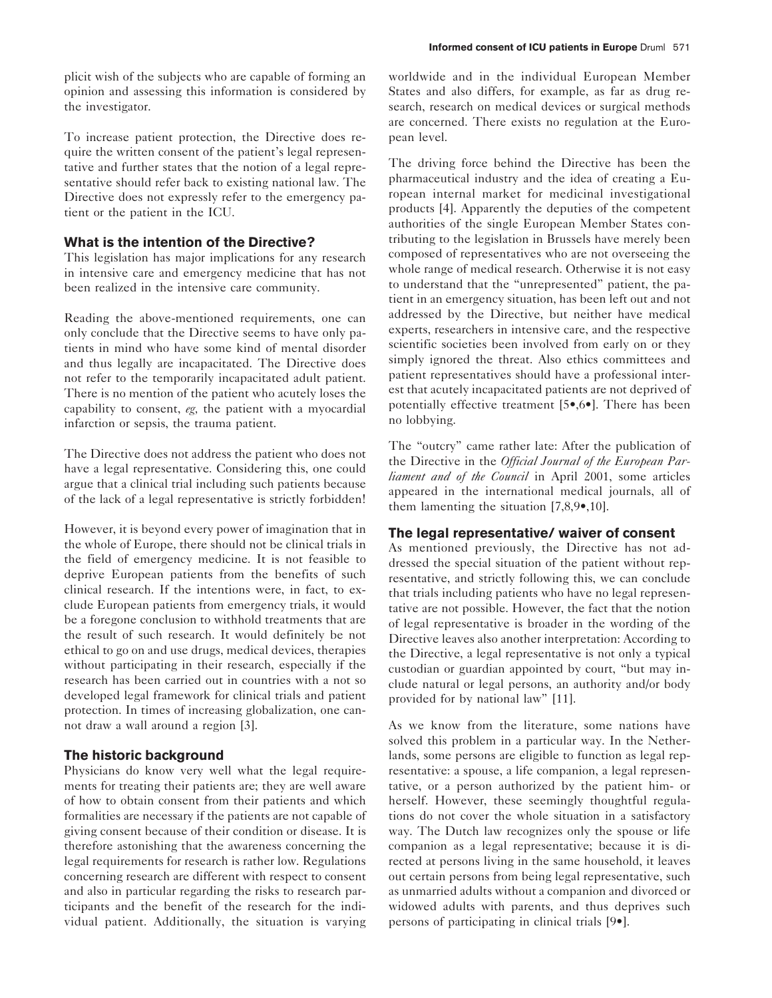plicit wish of the subjects who are capable of forming an opinion and assessing this information is considered by the investigator.

To increase patient protection, the Directive does require the written consent of the patient's legal representative and further states that the notion of a legal representative should refer back to existing national law. The Directive does not expressly refer to the emergency patient or the patient in the ICU.

# **What is the intention of the Directive?**

This legislation has major implications for any research in intensive care and emergency medicine that has not been realized in the intensive care community.

Reading the above-mentioned requirements, one can only conclude that the Directive seems to have only patients in mind who have some kind of mental disorder and thus legally are incapacitated. The Directive does not refer to the temporarily incapacitated adult patient. There is no mention of the patient who acutely loses the capability to consent, *eg,* the patient with a myocardial infarction or sepsis, the trauma patient.

The Directive does not address the patient who does not have a legal representative. Considering this, one could argue that a clinical trial including such patients because of the lack of a legal representative is strictly forbidden!

However, it is beyond every power of imagination that in the whole of Europe, there should not be clinical trials in the field of emergency medicine. It is not feasible to deprive European patients from the benefits of such clinical research. If the intentions were, in fact, to exclude European patients from emergency trials, it would be a foregone conclusion to withhold treatments that are the result of such research. It would definitely be not ethical to go on and use drugs, medical devices, therapies without participating in their research, especially if the research has been carried out in countries with a not so developed legal framework for clinical trials and patient protection. In times of increasing globalization, one cannot draw a wall around a region [3].

## **The historic background**

Physicians do know very well what the legal requirements for treating their patients are; they are well aware of how to obtain consent from their patients and which formalities are necessary if the patients are not capable of giving consent because of their condition or disease. It is therefore astonishing that the awareness concerning the legal requirements for research is rather low. Regulations concerning research are different with respect to consent and also in particular regarding the risks to research participants and the benefit of the research for the individual patient. Additionally, the situation is varying worldwide and in the individual European Member States and also differs, for example, as far as drug research, research on medical devices or surgical methods are concerned. There exists no regulation at the European level.

The driving force behind the Directive has been the pharmaceutical industry and the idea of creating a European internal market for medicinal investigational products [4]. Apparently the deputies of the competent authorities of the single European Member States contributing to the legislation in Brussels have merely been composed of representatives who are not overseeing the whole range of medical research. Otherwise it is not easy to understand that the "unrepresented" patient, the patient in an emergency situation, has been left out and not addressed by the Directive, but neither have medical experts, researchers in intensive care, and the respective scientific societies been involved from early on or they simply ignored the threat. Also ethics committees and patient representatives should have a professional interest that acutely incapacitated patients are not deprived of potentially effective treatment [5•,6•]. There has been no lobbying.

The "outcry" came rather late: After the publication of the Directive in the *Official Journal of the European Parliament and of the Council* in April 2001, some articles appeared in the international medical journals, all of them lamenting the situation [7,8,9•,10].

## **The legal representative/ waiver of consent**

As mentioned previously, the Directive has not addressed the special situation of the patient without representative, and strictly following this, we can conclude that trials including patients who have no legal representative are not possible. However, the fact that the notion of legal representative is broader in the wording of the Directive leaves also another interpretation: According to the Directive, a legal representative is not only a typical custodian or guardian appointed by court,"but may include natural or legal persons, an authority and/or body provided for by national law" [11].

As we know from the literature, some nations have solved this problem in a particular way. In the Netherlands, some persons are eligible to function as legal representative: a spouse, a life companion, a legal representative, or a person authorized by the patient him- or herself. However, these seemingly thoughtful regulations do not cover the whole situation in a satisfactory way. The Dutch law recognizes only the spouse or life companion as a legal representative; because it is directed at persons living in the same household, it leaves out certain persons from being legal representative, such as unmarried adults without a companion and divorced or widowed adults with parents, and thus deprives such persons of participating in clinical trials [9•].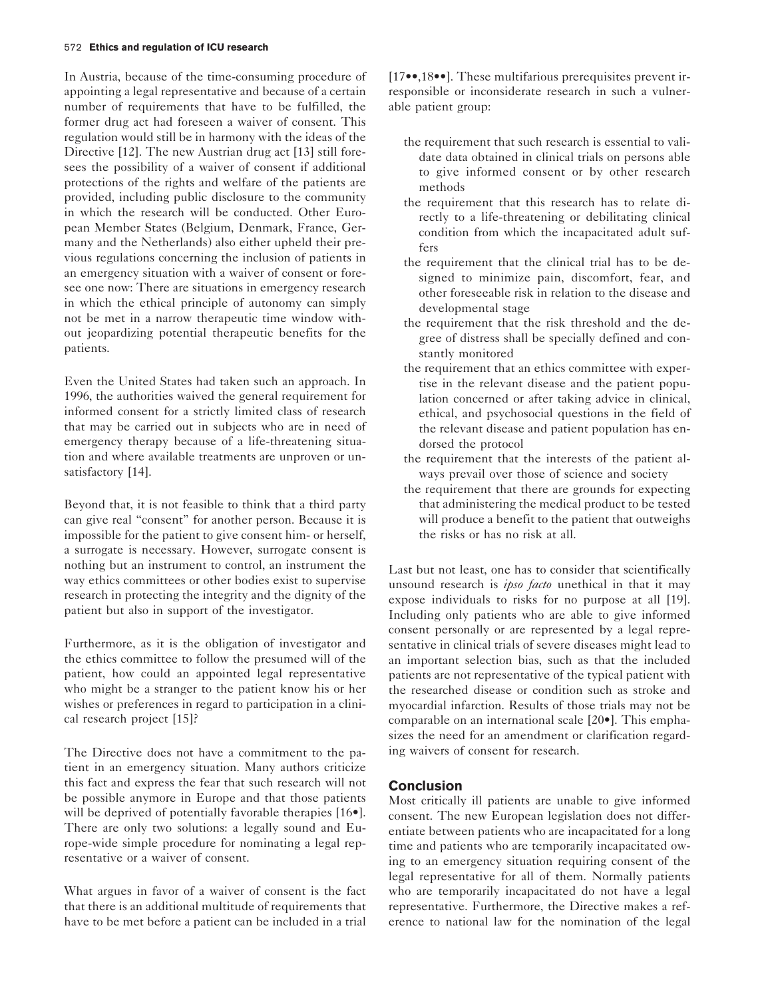In Austria, because of the time-consuming procedure of appointing a legal representative and because of a certain number of requirements that have to be fulfilled, the former drug act had foreseen a waiver of consent. This regulation would still be in harmony with the ideas of the Directive [12]. The new Austrian drug act [13] still foresees the possibility of a waiver of consent if additional protections of the rights and welfare of the patients are provided, including public disclosure to the community in which the research will be conducted. Other European Member States (Belgium, Denmark, France, Germany and the Netherlands) also either upheld their previous regulations concerning the inclusion of patients in an emergency situation with a waiver of consent or foresee one now: There are situations in emergency research in which the ethical principle of autonomy can simply not be met in a narrow therapeutic time window without jeopardizing potential therapeutic benefits for the patients.

Even the United States had taken such an approach. In 1996, the authorities waived the general requirement for informed consent for a strictly limited class of research that may be carried out in subjects who are in need of emergency therapy because of a life-threatening situation and where available treatments are unproven or unsatisfactory [14].

Beyond that, it is not feasible to think that a third party can give real "consent" for another person. Because it is impossible for the patient to give consent him- or herself, a surrogate is necessary. However, surrogate consent is nothing but an instrument to control, an instrument the way ethics committees or other bodies exist to supervise research in protecting the integrity and the dignity of the patient but also in support of the investigator.

Furthermore, as it is the obligation of investigator and the ethics committee to follow the presumed will of the patient, how could an appointed legal representative who might be a stranger to the patient know his or her wishes or preferences in regard to participation in a clinical research project [15]?

The Directive does not have a commitment to the patient in an emergency situation. Many authors criticize this fact and express the fear that such research will not be possible anymore in Europe and that those patients will be deprived of potentially favorable therapies [16 $\bullet$ ]. There are only two solutions: a legally sound and Europe-wide simple procedure for nominating a legal representative or a waiver of consent.

What argues in favor of a waiver of consent is the fact that there is an additional multitude of requirements that have to be met before a patient can be included in a trial [17••,18••]. These multifarious prerequisites prevent irresponsible or inconsiderate research in such a vulnerable patient group:

- the requirement that such research is essential to validate data obtained in clinical trials on persons able to give informed consent or by other research methods
- the requirement that this research has to relate directly to a life-threatening or debilitating clinical condition from which the incapacitated adult suffers
- the requirement that the clinical trial has to be designed to minimize pain, discomfort, fear, and other foreseeable risk in relation to the disease and developmental stage
- the requirement that the risk threshold and the degree of distress shall be specially defined and constantly monitored
- the requirement that an ethics committee with expertise in the relevant disease and the patient population concerned or after taking advice in clinical, ethical, and psychosocial questions in the field of the relevant disease and patient population has endorsed the protocol
- the requirement that the interests of the patient always prevail over those of science and society
- the requirement that there are grounds for expecting that administering the medical product to be tested will produce a benefit to the patient that outweighs the risks or has no risk at all.

Last but not least, one has to consider that scientifically unsound research is *ipso facto* unethical in that it may expose individuals to risks for no purpose at all [19]. Including only patients who are able to give informed consent personally or are represented by a legal representative in clinical trials of severe diseases might lead to an important selection bias, such as that the included patients are not representative of the typical patient with the researched disease or condition such as stroke and myocardial infarction. Results of those trials may not be comparable on an international scale [20•]. This emphasizes the need for an amendment or clarification regarding waivers of consent for research.

## **Conclusion**

Most critically ill patients are unable to give informed consent. The new European legislation does not differentiate between patients who are incapacitated for a long time and patients who are temporarily incapacitated owing to an emergency situation requiring consent of the legal representative for all of them. Normally patients who are temporarily incapacitated do not have a legal representative. Furthermore, the Directive makes a reference to national law for the nomination of the legal